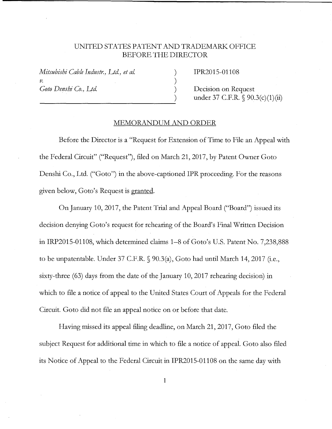## UNITED STATES PATENT AND TRADEMARK OFFICE BEFORE THE DIRECTOR

) ) ) )

*Mitsubishi Cable Industr., Ltd, et al.*  V. Goto Denshi Co., Ltd.

IPR2015-01108

Decision on Request under 37 C.F.R. § 90.3(c)(1)(ii)

## MEMORANDUM AND ORDER

Before the Director is a "Request for Extension of Time to File an Appeal with the Federal Circuit" ("Request"), filed on March 21, 2017, by Patent Owner Goto Denshi Co., Ltd. ("Goto") in the above-captioned IPR proceeding. For the reasons given below, Goto's Request is granted.

On January 10, 2017, the Patent Trial and Appeal Board ("Board") issued its decision denying Goto's request for rehearing of the Board's Final Written Decision in IRP2015-01108, which determined claims 1-8 of Goto's U.S. Patent No. 7,238,888 to be unpatentable. Under 37 C.F.R. § 90.3(a), Goto had until March 14, 2017 (i.e., sixty-three (63) days from the date of the January 10, 2017 rehearing decision) in which to file a notice of appeal to the United States Court of Appeals for the Federal Circuit. Goto did not file an appeal notice on or before that date.

Having missed its appeal filing deadline, on March 21, 2017, Goto filed the subject Request for additional time in which to file a notice of appeal. Goto also filed its Notice of Appeal to the Federal Circuit in IPR2015-01108 on the same day with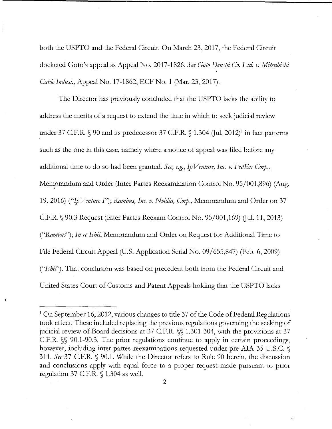both the USPTO and the Federal Circuit. On March 23, 2017, the Federal Circuit docketed Goto's appeal as Appeal No. 2017-1826. *See Goto Denshi Co. Ltd. v. Mitsubishi Cable Indust.,* Appeal No. 17-1862, ECF No. 1 (Mar. 23, 2017).

The Director has previously concluded that the USPTO lacks the ability to address the merits of a request to extend the time in which to seek judicial review under 37 C.F.R.  $\S$  90 and its predecessor 37 C.F.R.  $\S$  1.304 (Jul. 2012)<sup>1</sup> in fact patterns such as the one in this case, namely where a notice of appeal was filed before any additional time to do so had been granted. See, e.g., Ip Venture, Inc. v. FedEx Corp., Memorandum and Order (Inter Partes Reexamination Control No. 95/001,896) (Aug. 19, 2016) ("Ip *Venture I"); Rambus) Inc. v. Nvidia) Cory.,* Memorandum and Order on 37 C.F.R.  $\Diamond$  90.3 Request (Inter Partes Reexam Control No. 95/001,169) (Jul. 11, 2013) *("Rambus'); In re Ishii,* Memorandum and Order on Request for Additional Time to File Federal Circuit Appeal (U.S. Application Serial No. 09/655,847) (Feb. 6, 2009) *("Ishil').* That conclusion was based on precedent both from the Federal Circuit and United States Court of Customs and Patent Appeals holding that the USPTO lacks

<sup>&</sup>lt;sup>1</sup> On September 16, 2012, various changes to title 37 of the Code of Federal Regulations took effect. These included replacing the previous regulations governing the seeking of judicial review of Board decisions at 37 C.F.R. §§ 1.301-304, with the provisions at 37 C.F.R. §§ 90.1-90.3. The prior regulations continue to apply in certain proceedings, however, including inter partes reexaminations requested under pre-AIA 35 U.S.C. § 311. *See* 37 C.F.R. § 90.1. While the Director refers to Rule 90 herein, the discussion and conclusions apply with equal force to a proper request made pursuant to prior regulation 37 C.F.R. § 1.304 as well.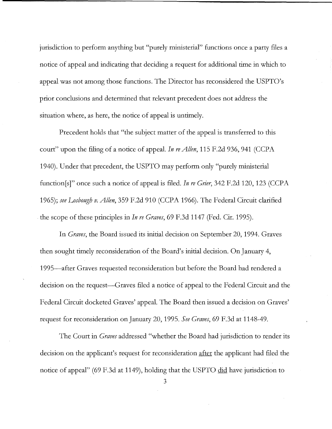jurisdiction to perform anything but "purely ministerial" functions once a party files a notice of appeal and indicating that deciding a request for additional time in which to appeal was not among those functions. The Director has reconsidered the USPTO's prior conclusions and determined that relevant precedent does not address the situation where, as here, the notice of appeal is untimely.

Precedent holds that "the subject matter of the appeal is transferred to this court" upon the filing of a notice of appeal. *In re Allen,* 115 F.2d 936, 941 (CCPA 1940). Under that precedent, the USPTO may perform only "purely ministerial function[s]" once such a notice of appeal is filed. *In re Grier,* 342 F.2d 120, 123 (CCPA 1965); *see Losbough v. Allen,* 359 F.2d 910 (CCPA 1966). The Federal Circuit clarified the scope of these principles in *In re Graves*, 69 F.3d 1147 (Fed. Cir. 1995).

In *Graves,* the Board issued its initial decision on September 20, 1994. Graves then sought timely reconsideration of the Board's initial decision. On January 4, 1995-after Graves requested reconsideration but before the Board had rendered a decision on the request—Graves filed a notice of appeal to the Federal Circuit and the Federal Circuit docketed Graves' appeal. The Board then issued a decision on Graves' request for reconsideration on January 20, 1995. *See Graves,* 69 F.3d at 1148-49.

The Court in *Graves* addressed "whether the Board had jurisdiction to render its decision on the applicant's request for reconsideration after the applicant had filed the notice of appeal" (69 F.3d at 1149), holding that the USPTO did have jurisdiction to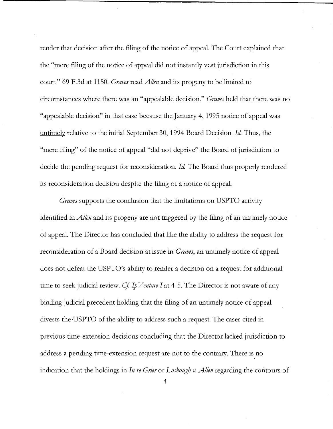render that decision after the filing of the notice of appeal. The Court explained that the "mere filing of the notice of appeal did not instantly vest jurisdiction in this court." 69 F.3d at 1150. *Graves* read *Allen* and its progeny to be limited to circumstances where there was an "appealable decision." *Graves* held that there was no "appealable decision" in that case because the January 4, 1995 notice of appeal was untimely relative to the initial September 30, 1994 Board Decision. *Id* Thus, the "mere filing" of the notice of appeal "did not deprive" the Board of jurisdiction to decide the pending request for reconsideration. *Id* The Board thus properly rendered its reconsideration decision despite the filing of a notice of appeal.

*Graves* supports the conclusion that the limitations on USPTO activity identified in *Allen* and its progeny are not triggered by the filing of ah untimely notice of appeal. The Director has concluded that like the ability to address the request for reconsideration of a Board decision at issue in *Graves,* an untimely notice of appeal does not defeat the USPTO's ability to render a decision on a request for additional time to seek judicial review. *Cf. IpVenture I* at 4-5. The Director is not aware of any binding judicial precedent holding that the filing of an untimely notice of appeal divests the USPTO of the ability to address such a request. The cases cited in previous time-extension decisions concluding that the Director lacked jurisdiction to address a pending time-extension request are not to the contrary. There is no indication that the holdings in *In re Grier* or *Losbough v. Allen* regarding the contours of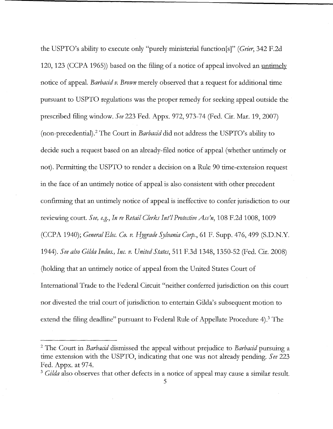the USPTO's ability to execute only "purely ministerial function[s]" *(Grier,* 342 F.2d 120, 123 (CCPA 1965)) based on the filing of a notice of appeal involved an untimely notice of appeal. *Barbacid v. Brown* merely observed that a request for additional time pursuant to USPTO regulations was the proper remedy for seeking appeal outside the prescribed filing window. *See* 223 Fed. Appx. 972, 973-74 (Fed. Cir. Mar. 19, 2007) (non-precedential).<sup>2</sup>The Court in *Barbacid* did not address the USPTO's ability to decide such a request based on an already-filed notice of appeal (whether untimely or not). Permitting the USPTO to render a decision on a Rule 90 time-extension request in the face of an untimely notice of appeal is also consistent with other precedent confirming that an untimely notice of appeal is ineffective to confer jurisdiction to our reviewing court. *See, e.g., In re Retail Clerks Int'l Protective Ass'n*, 108 F.2d 1008, 1009 (CCPA 1940); *General Blee. Co. v. Hygrade Sylvania C01p.,* 61 F. Supp. 476,499 (S.D.N.Y. 1944). *See also Gilda Indus.) Inc. v. United States,* 511 F.3d 1348, 1350-52 (Fed. Cir. 2008) (holding that an untimely notice of appeal from the United States Court of International Trade to the Federal Circuit "neither conferred jurisdiction on this court nor divested the trial court of jurisdiction to entertain Gilda's subsequent motion to extend the filing deadline" pursuant to Federal Rule of Appellate Procedure 4).<sup>3</sup> The

<sup>2</sup>The Court in *Barbacid* dismissed the appeal without prejudice to *Barbacid* pursuing a time extension with the USPTO, indicating that one was not already pending. *See* 223 Fed. Appx. at 974.

<sup>3</sup>*Gilda* also observes that other defects in a notice of appeal may cause a similar result.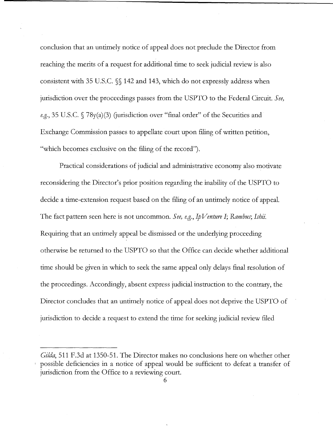conclusion that an untimely notice of appeal does not preclude the Director from reaching the merits of a request for additional time to seek judicial review is also consistent with 35 U.S.C. §§ 142 and 143, which do not expressly address when jurisdiction over the proceedings passes from the USPTO to the Federal Circuit. *See, e.g.*, 35 U.S.C. § 78y(a)(3) (jurisdiction over "final order" of the Securities and Exchange Commission passes to appellate court upon filing of written petition, "which becomes exclusive on the filing of the record").

Practical considerations of judicial and administrative economy also motivate reconsidering the Director's prior position regarding the inability of the USPTO to decide a time-extension request based on the filing of an untimely notice of appeal. The fact pattern seen here is not uncommon. *See, e.g.,* Ip *Venture I; Rambus; Ishii.*  Requiring that an untimely appeal be dismissed or the underlying proceeding otherwise be returned to the USPTO so that the Office can decide whether additional time should be given in which to seek the same appeal only delays final resolution of the proceedings. Accordingly, absent express judicial instruction to the contrary, the Director concludes that an untimely notice of appeal does not deprive the USPTO of jurisdiction to decide a request to extend the time for seeking judicial review filed

*Gilda,* 511 F.3d at 1350-51. The Director makes no conclusions here on whether other ' possible deficiencies in a notice of appeal would be sufficient to defeat a transfer of jurisdiction from the Office to a reviewing court.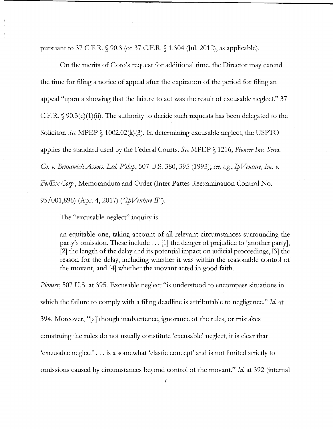pursuant to 37 C.F.R.  $\Diamond$  90.3 (or 37 C.F.R.  $\Diamond$  1.304 (Jul. 2012), as applicable).

On the merits of Goto's request for additional time, the Director may extend the time for filing a notice of appeal after the expiration of the period for filing an appeal "upon a showing that the failure to act was the result of excusable neglect." 37 C.F.R.  $\S$  90.3(c)(1)(ii). The authority to decide such requests has been delegated to the Solicitor. See MPEP § 1002.02(k)(3). In determining excusable neglect, the USPTO applies the standard used by the Federal Courts. *See* MPEP § 1216; *Pioneer Inv. Servs. Co. v. BrunswickAssocs. Ltd. P'ship,* 507 U.S. 380,395 (1993); *see, e.g.,* Ip *Venture, Inc. v. FedEx Corp.*, Memorandum and Order (Inter Partes Reexamination Control No. 95/001,896) (Apr. 4, 2017) ("Ip *Venture II").* 

The "excusable neglect" inquiry is

an equitable one, taking account of all relevant circumstances surrounding the party's omission. These include ... [1] the danger of prejudice to [another party], [2] the length of the delay and its potential impact on judicial proceedings, [3] the reason for the delay, including whether it was within the reasonable control of the movant, and [4] whether the movant acted in good faith.

*Pioneer,* 507 U.S. at 395. Excusable neglect "is understood to encompass situations in which the failure to comply with a filing deadline is attributable to negligence." *Id.* at 394. Moreover, "[a]lthough inadvertence, ignorance of the rules, or mistakes construing the rules do not usually constitute 'excusable' neglect, it is clear that 'excusable neglect' ... is a somewhat 'elastic concept' and is not limited strictly to omissions caused by circumstances beyond control of the movant." *Id* at 392 (internal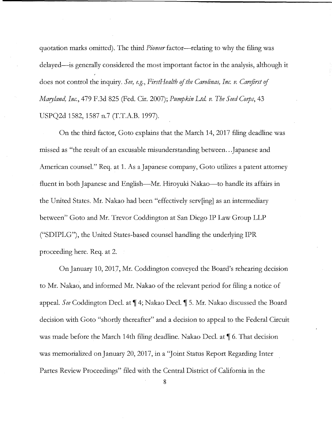quotation marks omitted). The third *Pioneer* factor-relating to why the filing was delayed—is generally considered the most important factor in the analysis, although it does not control the inquiry. *See, e.g., FirstHealth of the Carolinas, Inc. v. Carefirst of Maryland, Inc.,* 479 F.3d 825 (Fed. Cir. 2007); *Pumpkin Ltd v. The Seed Cops,* 43 USPQ2d 1582, 1587 n.7 (T.T.A.B. 1997).

On the third factor, Goto explains that the March 14, 2017 filing deadline was missed as "the result of an excusable misunderstanding between .. .Japanese and American counsel." Req. at 1. As a Japanese company, Goto utilizes a patent attorney fluent in both Japanese and English—Mr. Hiroyuki Nakao—to handle its affairs in the United States. Mr. Nakao had been "effectively serv[ing] as an intermediary between" Goto and Mr. Trevor Coddington at San Diego IP Law Group LLP ("SDIPLG"), the United States-based counsel handling the underlying IPR proceeding here. Req. at 2.

On January 10, 2017, Mr. Coddington conveyed the Board's rehearing decision to Mr. Nakao, and informed Mr. Nakao of the relevant period for filing a notice of appeal. *See* Coddington Decl. at  $\P$  4; Nakao Decl.  $\P$  5. Mr. Nakao discussed the Board decision with Goto "shortly thereafter" and a decision to appeal to the Federal Circuit was made before the March 14th filing deadline. Nakao Decl. at  $\parallel$  6. That decision was memorialized on January 20, 2017, in a "Joint Status Report Regarding Inter Partes Review Proceedings" filed with the Central District of California in the

8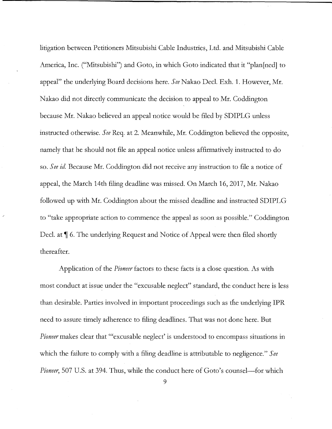litigation between Petitioners Mitsubishi Cable Industries, Ltd. and Mitsubishi Cable America, Inc. ("Mitsubishi") and Goto, in which Goto indicated that it "plan[ned] to appeal" the underlying Board decisions here. *See* Nakao Deel. Exh. 1. However, Mr. Nakao did not directly communicate the decision to appeal to Mr. Coddington because Mr. Nakao believed an appeal notice would be filed by SDIPLG unless instructed otherwise. *See* Req. at 2. Meanwhile, Mr. Coddington believed the opposite, namely that he should not file an appeal notice unless affirmatively instructed to do so. *See id* Because Mr. Coddington did not receive any instruction to file a notice of appeal, the March 14th filing deadline was missed. On March 16, 2017, Mr. Nakao followed up with Mr. Coddington about the missed deadline and instructed SDIPLG to "take appropriate action to commence the appeal as soon as possible." Coddington Decl. at  $\P$  6. The underlying Request and Notice of Appeal were then filed shortly thereafter.

Application of the *Pioneer* factors to these facts is a close question. As with most conduct at issue under the "excusable neglect" standard, the conduct here is less than desirable. Parties involved in important proceedings such as the underlying **IPR**  need to assure timely adherence to filing deadlines. That was not done here. But *Pioneer* makes clear that "'excusable neglect' is understood to encompass situations in which the failure to comply with a filing deadline is attributable to negligence." *See Pioneer*, 507 U.S. at 394. Thus, while the conduct here of Goto's counsel—for which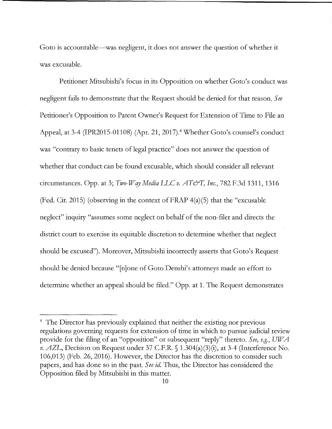Goto is accountable—was negligent, it does not answer the question of whether it was excusable.

Petitioner Mitsubishi's focus in its Opposition on whether Goto's conduct was negligent fails to demonstrate that the Request should be denied for that reason. *See*  Petitioner's Opposition to Patent Owner's Request for Extension of Time to File an Appeal, at 3-4 (IPR2015-01108) (Apr. 21, 2017).<sup>4</sup> Whether Goto's counsel's conduct was "contrary to basic tenets of legal practice" does not answer the question of whether that conduct can be found excusable, which should consider all relevant circumstances. Opp. at 3; *Two-W* cry *Media* LLC *v. AT&T, Inc.,* 782 F.3d 1311, 1316 (Fed. Cir. 2015) (observing in the context of FRAP 4(a)(5) that the "excusable neglect" inquiry "assumes some neglect on behalf of the non-filer and directs the district court to exercise its equitable discretion to determine whether that neglect should be excused"). Moreover, Mitsubishi incorrectly asserts that Goto's Request should be denied because "[n]one of Goto Denshi's attorneys made an effort to determine whether an appeal should be filed." Opp. at 1. The Request demonstrates

<sup>&</sup>lt;sup>4</sup> The Director has previously explained that neither the existing nor previous regulations governing requests for extension of time in which to pursue judicial review provide for the filing of an "opposition" or subsequent "reply" thereto. *See, e.g., UWA v. AZL,* Decision on Request under 37 C.F.R. § 1.304(a)(3)(i), at 3-4 (Interference No. 106,013) (Feb. 26, 2016). However, the Director has the discretion to consider such papers, and has done so in the past. *See id* Thus, the Director has considered the Opposition filed by Mitsubishi in this matter.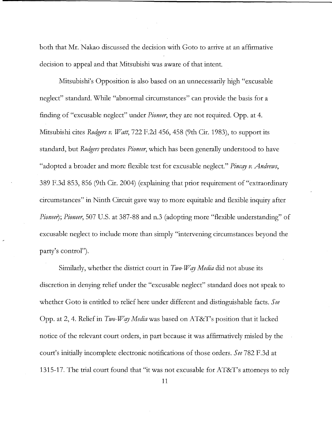both that Mr. Nakao discussed the decision with Goto to arrive at an affirmative decision to appeal and that Mitsubishi was aware of that intent.

Mitsubishi's Opposition is also based on an unnecessarily high "excusable neglect" standard. While "abnormal circumstances" can provide the basis for a finding of "excusable neglect" under *Pioneer,* they are not required. Opp. at 4. Mitsubishi cites *Rodgers v. Watt,* 722 F.2d 456, 458 (9th Cir. 1983), to support its standard, but *Rodgers* predates *Pioneer,* which has been generally understood to have "adopted a broader and more flexible test for excusable neglect." *Pincqy v. Andrews,*  389 F.3d 853, 856 (9th Cir. 2004) ( explaining that prior requirement of "extraordinary circumstances" in Ninth Circuit gave way to more equitable and flexible inquiry after *Pioneer); Pioneer,* 507 U.S. at 387-88 and n.3 (adopting more "flexible understanding" of excusable neglect to include more than simply "intervening circumstances beyond the party's control").

Similarly, whether the district court in *Two-Way Media* did not abuse its discretion in denying relief under the "excusable neglect" standard does not speak to whether Goto is entitled to relief here under different and distinguishable facts. *See*  Opp. at 2, 4. Relief in *Two-W qy Media* was based on AT&T's position that it lacked notice of the relevant court orders, in part because it was affirmatively misled by the court's initially incomplete electronic notifications of those orders. *See* 782 F.3d at 1315-17. The trial court found that "it was not excusable for AT&T's attorneys to rely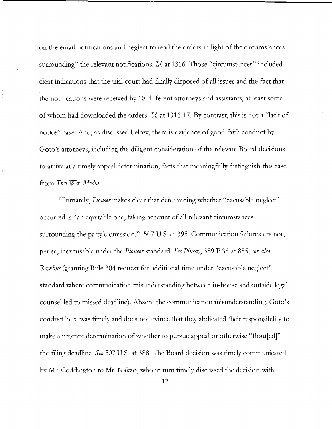on the email notifications and neglect to read the orders in light of the circumstances surrounding" the relevant notifications. *Id.* at 1316. Those "circumstances" included clear indications that the trial court had finally disposed of all issues and the fact that the notifications were received by 18 different attorneys and assistants, at least some of whom had downloaded the orders. *Id* at 1316-17. By contrast, this is not a "lack of notice" case. And, as discussed below, there is evidence of good faith conduct by Goto's attorneys, including the diligent consideration of the relevant Board decisions to arrive at a timely appeal determination, facts that meaningfully distinguish this case from *Two-Way Media*.

Ultimately, *Pioneer* makes clear that determining whether "excusable neglect" occurred is "an equitable one, taking account of all relevant circumstances surrounding the party's omission." 507 U.S. at 395. Communication failures are not, per se, inexcusable under the *Pioneer* standard. See Pincay, 389 F.3d at 855; see also *Rambus* (granting Rule 304 request for additional time under "excusable neglect" standard where communication misunderstanding between in-house and outside legal counsel led to missed deadline). Absent the communication misunderstanding, Goto's conduct here was timely and does not evince that they abdicated their responsibility to make a prompt determination of whether to pursue appeal or otherwise "flout[ed]" the filing deadline. *See* 507 U.S. at 388. The Board decision was timely communicated by Mr. Coddington to Mr. Nakao, who in turn timely discussed the decision with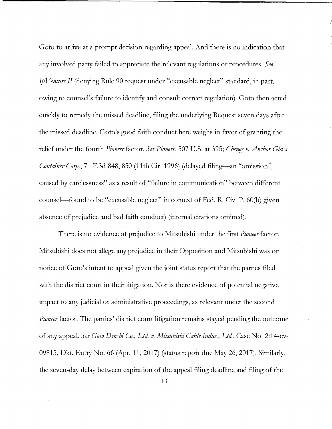Goto to arrive at a prompt decision regarding appeal. And there is no indication that any involved party failed to appreciate the relevant regulations or procedures. *See*  Ip *Venture II* ( denying Rule 90 request under "excusable neglect" standard, in part, owing to counsel's failure to identify and consult correct regulation). Goto then acted quickly to remedy the missed deadline, filing the underlying Request seven days after the missed deadline. Goto's good faith conduct here weighs in favor of granting the relief under the fourth *Pioneer* factor. *See Pioneer,* 507 U.S. at 395; *Chenry v. Anchor Glass Container Corp.*, 71 F.3d 848, 850 (11th Cir. 1996) (delayed filing-an "omission [] caused by carelessness" as a result of "failure in communication" between different counsel-found to be "excusable neglect" in context of Fed. R Civ. P. 60(b) given absence of prejudice and bad faith conduct) (internal citations omitted).

There is no evidence of prejudice to Mitsubishi under the first *Pioneer* factor. Mitsubishi does not allege any prejudice in their Opposition and Mitsubishi was on notice of Goto's intent to appeal given the joint status report that the parties filed with the district court in their litigation. Nor is there evidence of potential negative impact to any judicial or administrative proceedings, as relevant under the second *Pioneer* factor. The parties' district court litigation remains stayed pending the outcome of any appeal. *See Goto Denshi Co., Ltd v. Mitsubishi Cable Indus., Ltd,* Case No. 2:14-cv-09815, Dkt. Entry No. 66 (Apr. 11, 2017) (status report due May 26, 2017). Similarly, the seven-day delay between expiration of the appeal filing deadline and filing of the

13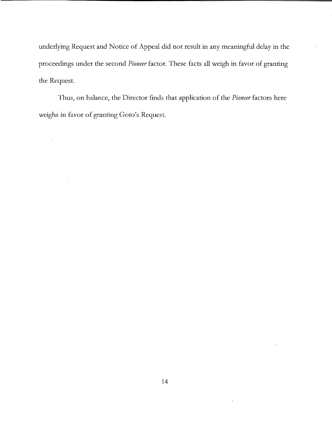underlying Request and Notice of Appeal did not result in any meaningful delay in the proceedings under the second *Pioneer* factor. These facts all weigh in favor of granting the Request.

Thus, on balance, the Director finds that application of the *Pioneer* factors here weighs in favor of granting Goto's Request.